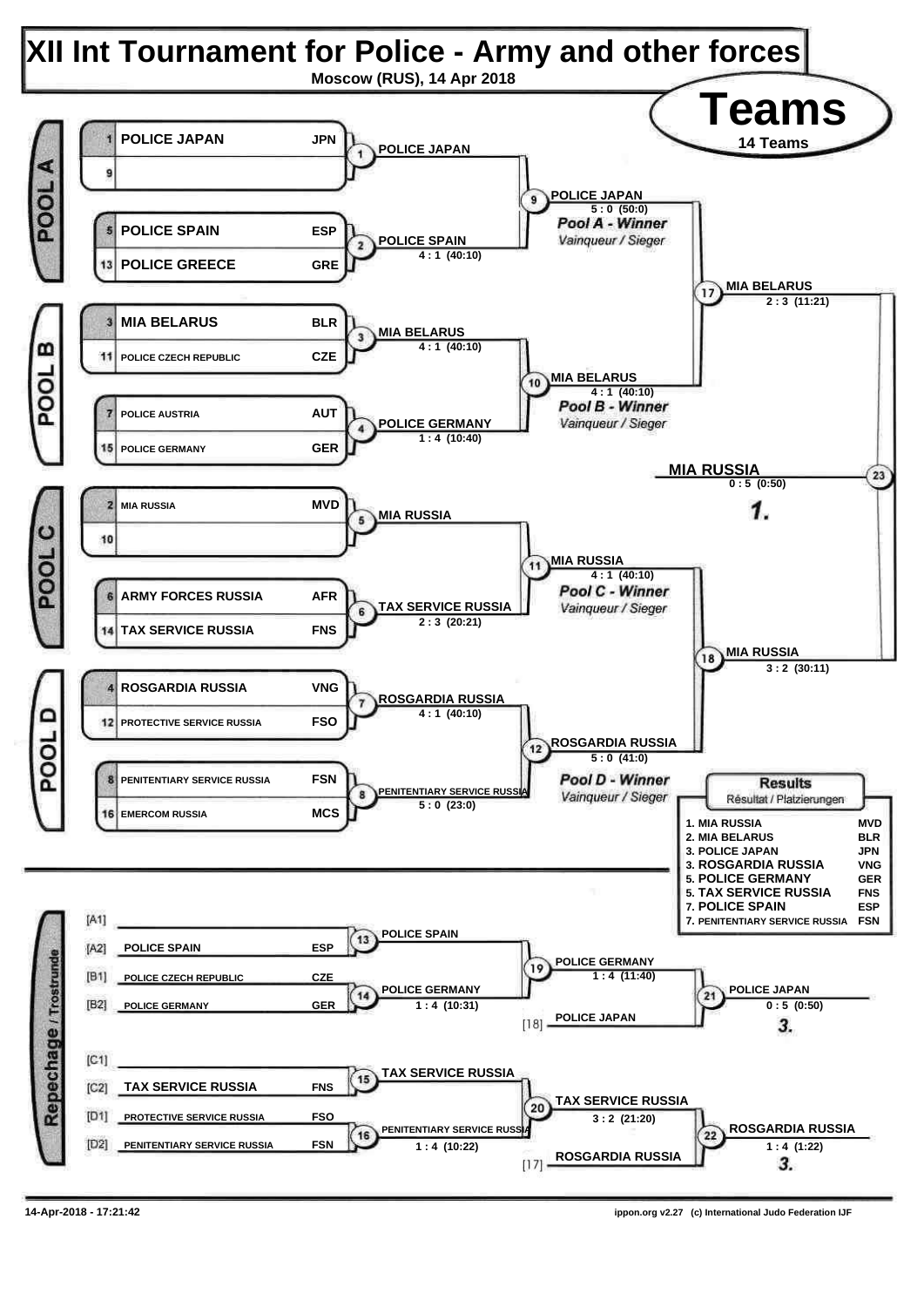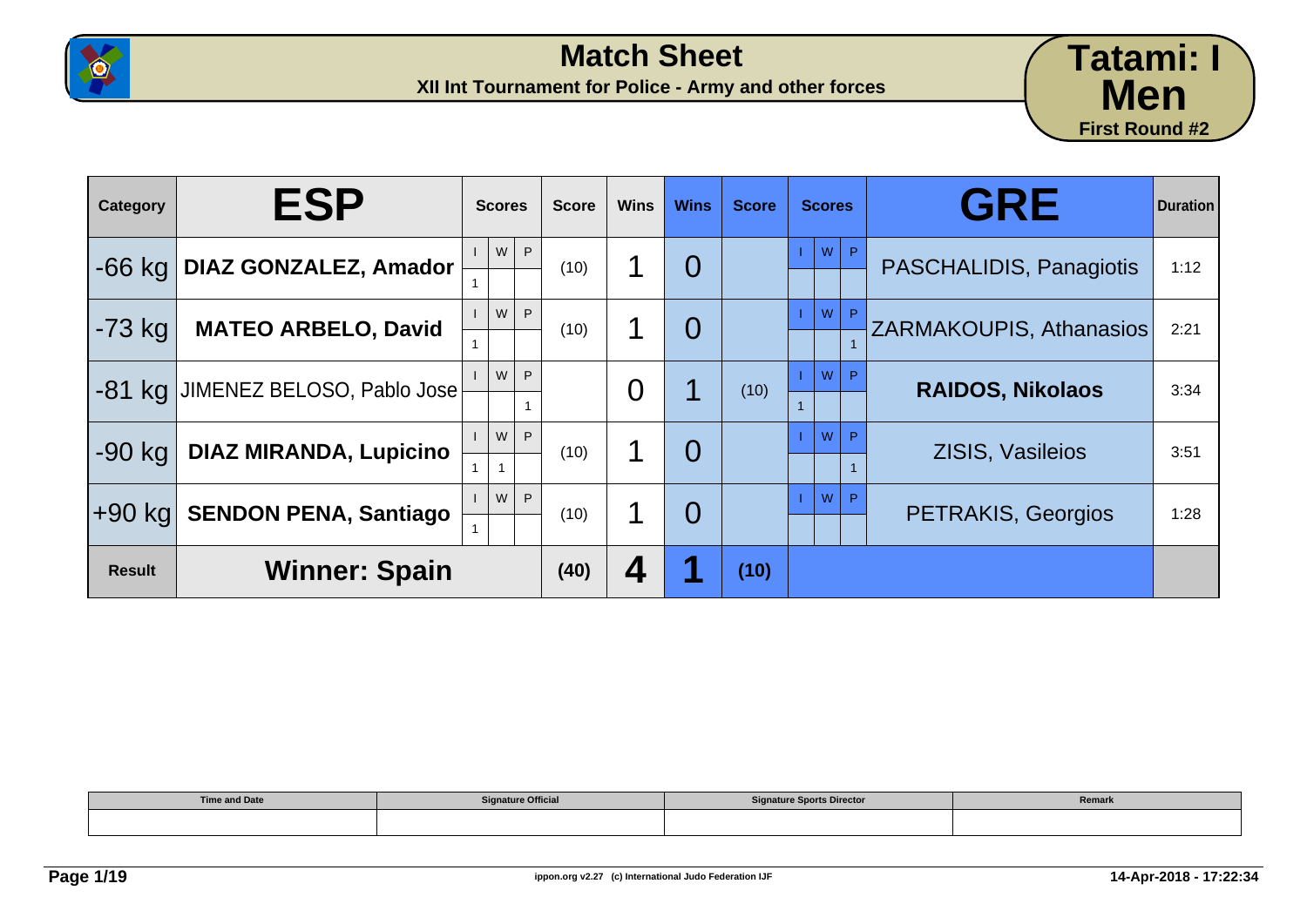



| Category      | <b>ESP</b>                    | <b>Scores</b>          | <b>Score</b> | <b>Wins</b>    | <b>Wins</b>    | <b>Score</b> | <b>Scores</b> | <b>GRE</b>                     | <b>Duration</b> |
|---------------|-------------------------------|------------------------|--------------|----------------|----------------|--------------|---------------|--------------------------------|-----------------|
| $-66$ kg      | <b>DIAZ GONZALEZ, Amador</b>  | W<br>P                 | (10)         | 1              | $\overline{0}$ |              | W<br>P        | PASCHALIDIS, Panagiotis        | 1:12            |
| $-73$ kg      | <b>MATEO ARBELO, David</b>    | W<br>P.                | (10)         | 1              | $\overline{0}$ |              | W<br>P        | <b>ZARMAKOUPIS, Athanasios</b> | 2:21            |
| $-81$ kg      | JIMENEZ BELOSO, Pablo Jose    | W<br>P                 |              | $\overline{0}$ |                | (10)         | W<br>P        | <b>RAIDOS, Nikolaos</b>        | 3:34            |
| $-90$ kg      | <b>DIAZ MIRANDA, Lupicino</b> | W<br>P<br>$\mathbf{1}$ | (10)         | 1              | $\overline{0}$ |              | W             | <b>ZISIS, Vasileios</b>        | 3:51            |
| +90 kg        | <b>SENDON PENA, Santiago</b>  | W<br>P.                | (10)         | 1              | $\overline{0}$ |              | W<br>P        | <b>PETRAKIS, Georgios</b>      | 1:28            |
| <b>Result</b> | <b>Winner: Spain</b>          |                        | (40)         | 4              |                | (10)         |               |                                |                 |

| <b>Time and Date</b><br>_______ | <b>Signature Official</b> | <b>Signature Sports Director</b> | Remark |
|---------------------------------|---------------------------|----------------------------------|--------|
|                                 |                           |                                  |        |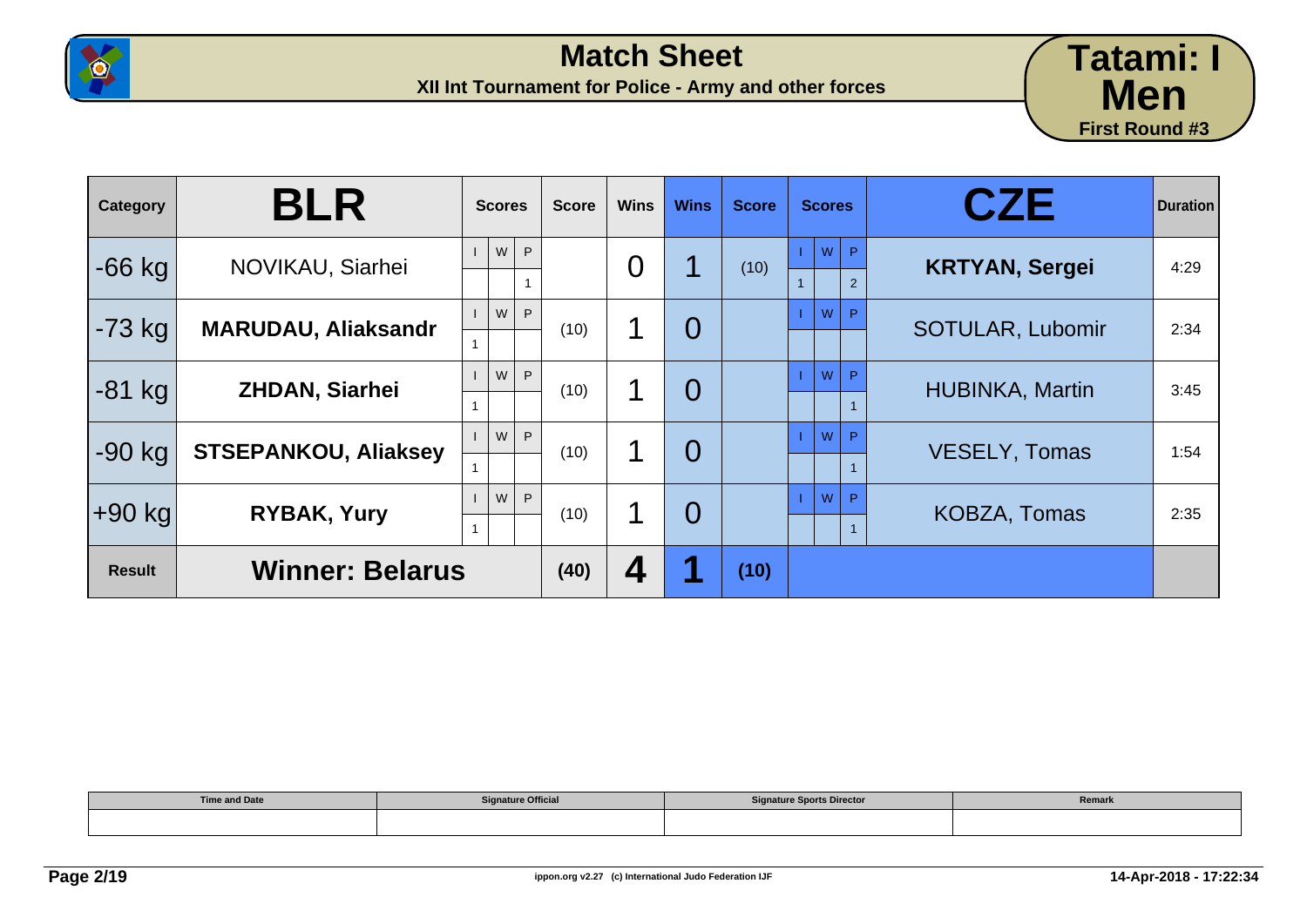



| Category      | <b>BLR</b>                  | <b>Scores</b> | <b>Score</b> | <b>Wins</b>    | <b>Wins</b>    | <b>Score</b> | <b>Scores</b>                       | <b>CZE</b>              | <b>Duration</b> |
|---------------|-----------------------------|---------------|--------------|----------------|----------------|--------------|-------------------------------------|-------------------------|-----------------|
| $-66$ kg      | NOVIKAU, Siarhei            | W<br>P        |              | $\overline{0}$ |                | (10)         | W<br>$\mathsf{P}$<br>$\overline{2}$ | <b>KRTYAN, Sergei</b>   | 4:29            |
| $-73$ kg      | <b>MARUDAU, Aliaksandr</b>  | W<br>P        | (10)         | 1              | $\overline{0}$ |              | W<br>P                              | <b>SOTULAR, Lubomir</b> | 2:34            |
| $-81$ kg      | <b>ZHDAN, Siarhei</b>       | W<br>P        | (10)         | 1              | $\overline{0}$ |              | W<br>P                              | <b>HUBINKA, Martin</b>  | 3:45            |
| $-90$ kg      | <b>STSEPANKOU, Aliaksey</b> | P<br>W        | (10)         | 1              | $\overline{0}$ |              | W<br>P                              | VESELY, Tomas           | 1:54            |
| ∣+90 kg       | <b>RYBAK, Yury</b>          | W<br>P        | (10)         | 1              | $\overline{0}$ |              | W<br>P                              | <b>KOBZA, Tomas</b>     | 2:35            |
| <b>Result</b> | <b>Winner: Belarus</b>      |               | (40)         | 4              |                | (10)         |                                     |                         |                 |

| <b>Time and Date</b> | <b>Signature Official</b> | <b>Signature Sports Director</b> | Remark |
|----------------------|---------------------------|----------------------------------|--------|
|                      |                           |                                  |        |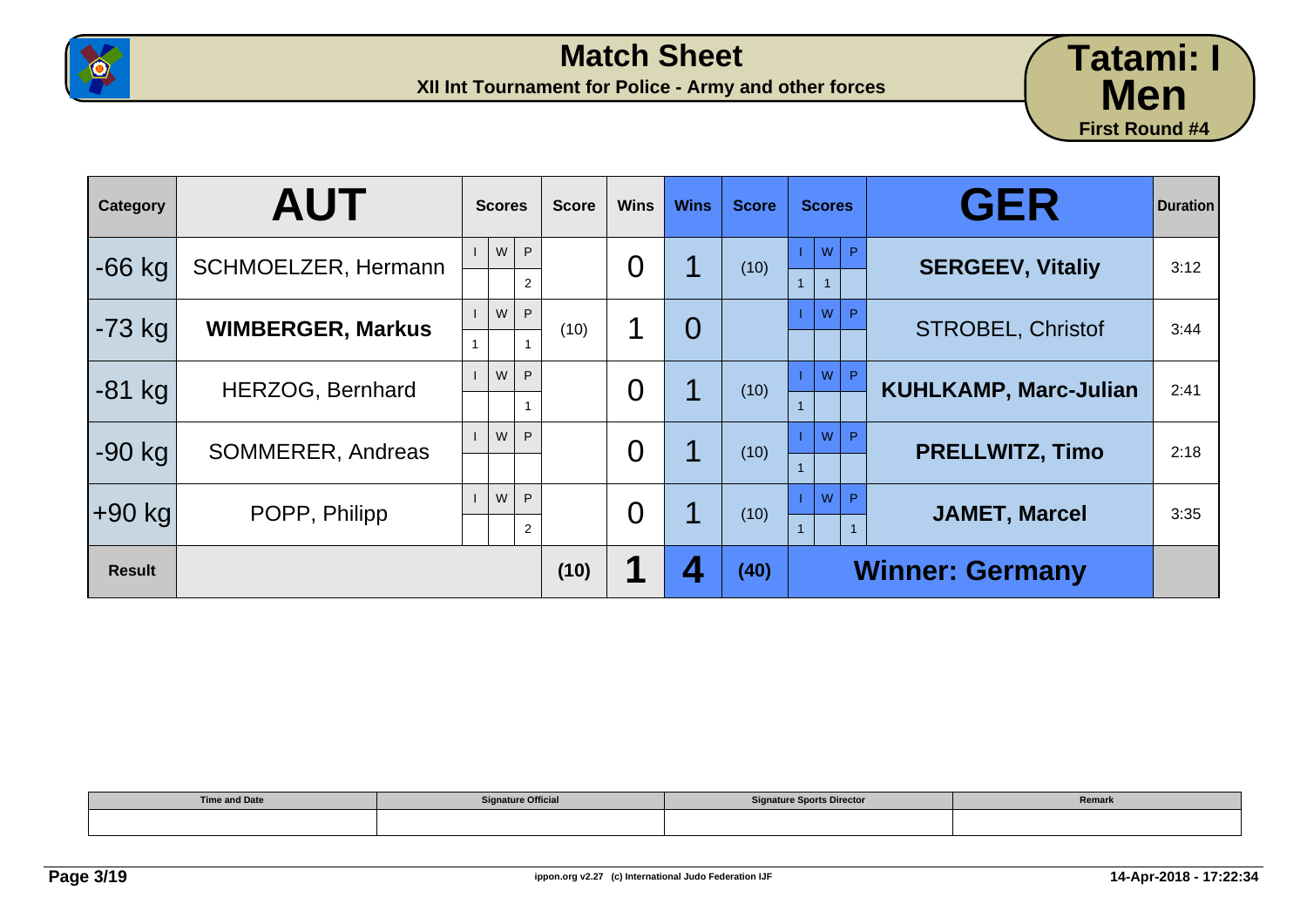



| Category      | <b>AUT</b>                 | <b>Scores</b>             | <b>Score</b> | <b>Wins</b>    | <b>Wins</b>    | <b>Score</b> | <b>Scores</b>                  | <b>GER</b>                   | <b>Duration</b> |
|---------------|----------------------------|---------------------------|--------------|----------------|----------------|--------------|--------------------------------|------------------------------|-----------------|
| $-66$ kg      | <b>SCHMOELZER, Hermann</b> | W<br>P.<br>$\overline{2}$ |              | $\overline{0}$ |                | (10)         | ${\sf W}$<br>P<br>$\mathbf{1}$ | <b>SERGEEV, Vitaliy</b>      | 3:12            |
| $-73$ kg      | <b>WIMBERGER, Markus</b>   | W<br>P.                   | (10)         | 1              | $\overline{O}$ |              | W<br>P                         | <b>STROBEL, Christof</b>     | 3:44            |
| $-81$ kg      | <b>HERZOG, Bernhard</b>    | W<br>P.<br>$\mathbf{1}$   |              | $\overline{0}$ |                | (10)         | W<br>P                         | <b>KUHLKAMP, Marc-Julian</b> | 2:41            |
| $-90$ kg      | SOMMERER, Andreas          | W<br>P                    |              | $\overline{0}$ |                | (10)         | W<br>D                         | <b>PRELLWITZ, Timo</b>       | 2:18            |
| $+90$ kg      | POPP, Philipp              | W<br>P.<br>$\overline{2}$ |              | $\overline{0}$ |                | (10)         | W<br>D                         | <b>JAMET, Marcel</b>         | 3:35            |
| <b>Result</b> |                            |                           | (10)         |                |                | (40)         |                                | <b>Winner: Germany</b>       |                 |

| <b>Time and Date</b> | <b>Signature Official</b> | <b>Signature Sports Director</b> | Remark |
|----------------------|---------------------------|----------------------------------|--------|
|                      |                           |                                  |        |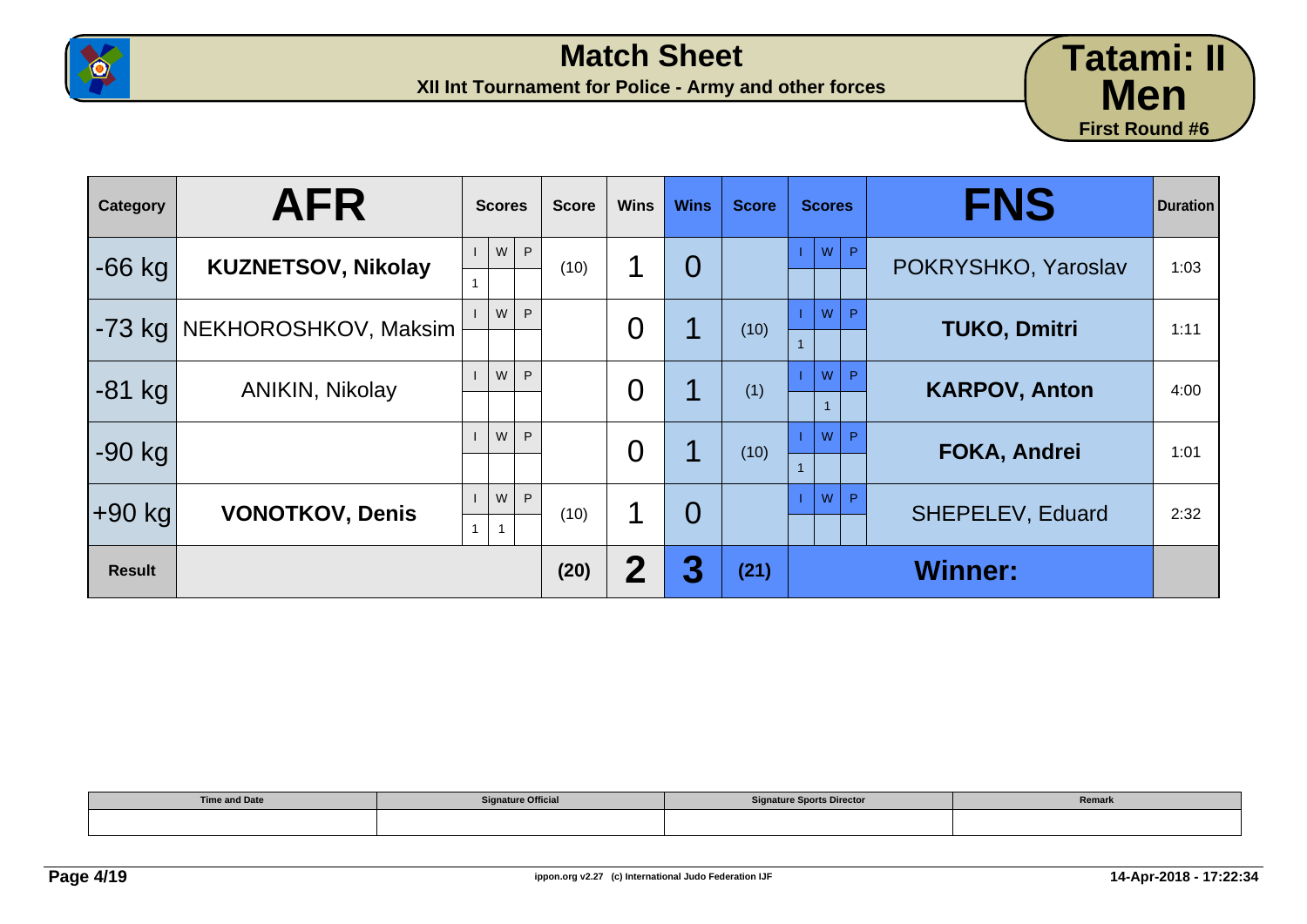



| Category      | <b>AFR</b>                | <b>Scores</b>            | <b>Score</b> | <b>Wins</b> | <b>Wins</b>    | <b>Score</b> | <b>Scores</b> | <b>FNS</b>              | <b>Duration</b> |
|---------------|---------------------------|--------------------------|--------------|-------------|----------------|--------------|---------------|-------------------------|-----------------|
| $-66$ kg      | <b>KUZNETSOV, Nikolay</b> | ${\sf W}$<br>P           | (10)         |             | $\overline{0}$ |              | W<br>P.       | POKRYSHKO, Yaroslav     | 1:03            |
| -73 kg        | NEKHOROSHKOV, Maksim      | W<br>P                   |              | O           |                | (10)         | W<br>P        | <b>TUKO, Dmitri</b>     | 1:11            |
| $-81$ kg      | <b>ANIKIN, Nikolay</b>    | W<br>P                   |              | 0           |                | (1)          | W<br>P        | <b>KARPOV, Anton</b>    | 4:00            |
| $-90$ kg      |                           | W<br>P                   |              | 0           |                | (10)         | W             | <b>FOKA, Andrei</b>     | 1:01            |
| $+90$ kg      | <b>VONOTKOV, Denis</b>    | W<br>P<br>$\overline{1}$ | (10)         | 1           | $\overline{0}$ |              | W<br>P        | <b>SHEPELEV, Eduard</b> | 2:32            |
| <b>Result</b> |                           |                          | (20)         | 2           | 3              | (21)         |               | <b>Winner:</b>          |                 |

| <b>Time and Date</b> | <b>Signature Official</b> | <b>Signature Sports Director</b> | Remark |
|----------------------|---------------------------|----------------------------------|--------|
|                      |                           |                                  |        |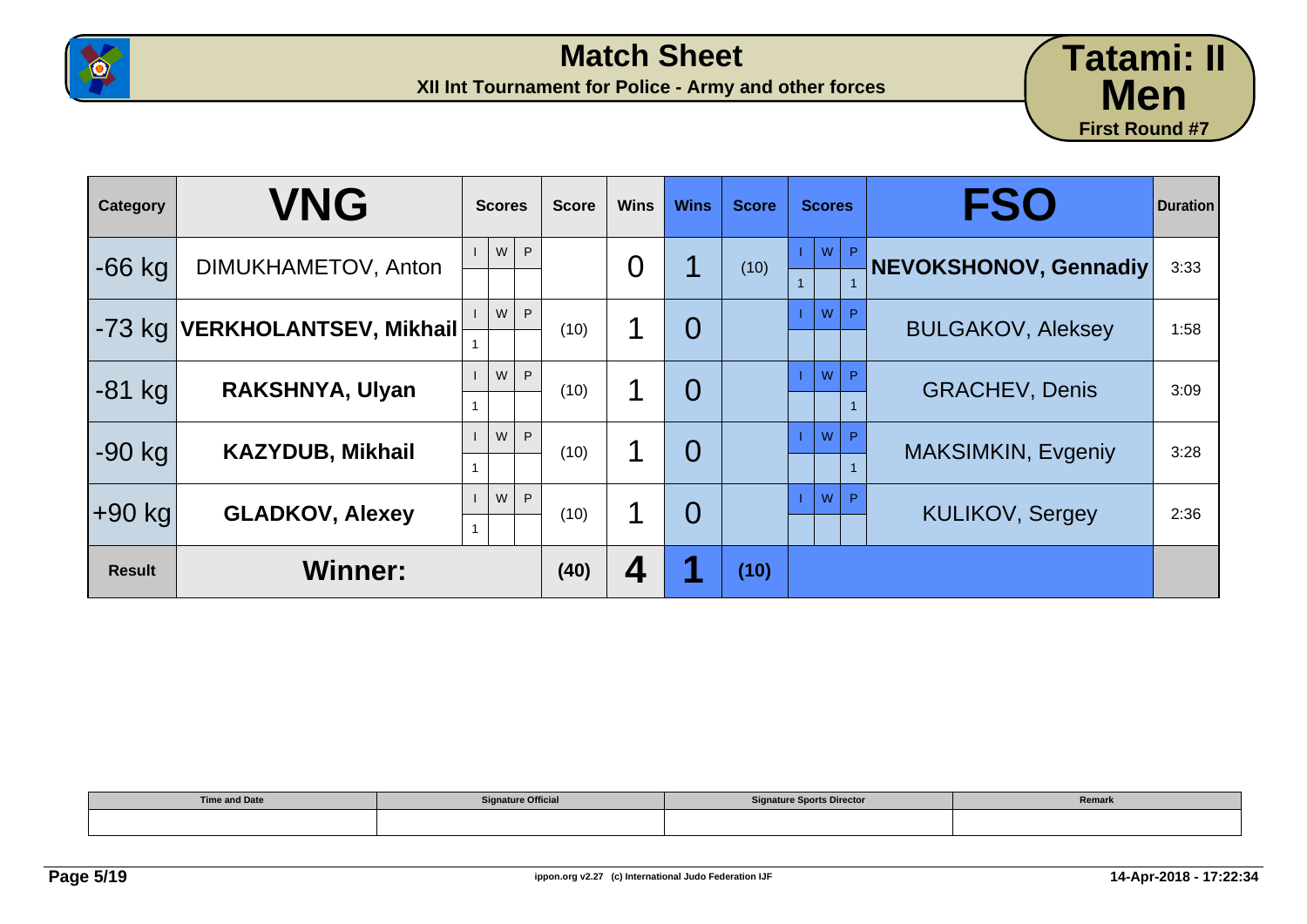



| Category      | <b>VNG</b>              | <b>Scores</b>  | <b>Score</b> | <b>Wins</b> | <b>Wins</b> | <b>Score</b> | <b>Scores</b> | <b>FSO</b>                | <b>Duration</b> |
|---------------|-------------------------|----------------|--------------|-------------|-------------|--------------|---------------|---------------------------|-----------------|
| $-66$ kg      | DIMUKHAMETOV, Anton     | ${\sf W}$<br>P |              | 0           |             | (10)         | W<br>P.<br>1  | NEVOKSHONOV, Gennadiy     | 3:33            |
| 1-73 kg       | VERKHOLANTSEV, Mikhail⊦ | W<br>P         | (10)         | 1           | 0           |              | W<br>P        | <b>BULGAKOV, Aleksey</b>  | 1:58            |
| $-81$ kg      | RAKSHNYA, Ulyan         | W<br>P         | (10)         |             | 0           |              | W             | <b>GRACHEV, Denis</b>     | 3:09            |
| $-90$ kg      | <b>KAZYDUB, Mikhail</b> | W<br>P         | (10)         | 1           | 0           |              | W<br>P        | <b>MAKSIMKIN, Evgeniy</b> | 3:28            |
| $+90$ kg      | <b>GLADKOV, Alexey</b>  | W<br>P         | (10)         | ◀           | 0           |              | W<br>P        | <b>KULIKOV, Sergey</b>    | 2:36            |
| <b>Result</b> | <b>Winner:</b>          |                | (40)         | 4           | и           | (10)         |               |                           |                 |

| <b>Time and Date</b><br>_______ | <b>Signature Official</b> | <b>Signature Sports Director</b> | Remark |
|---------------------------------|---------------------------|----------------------------------|--------|
|                                 |                           |                                  |        |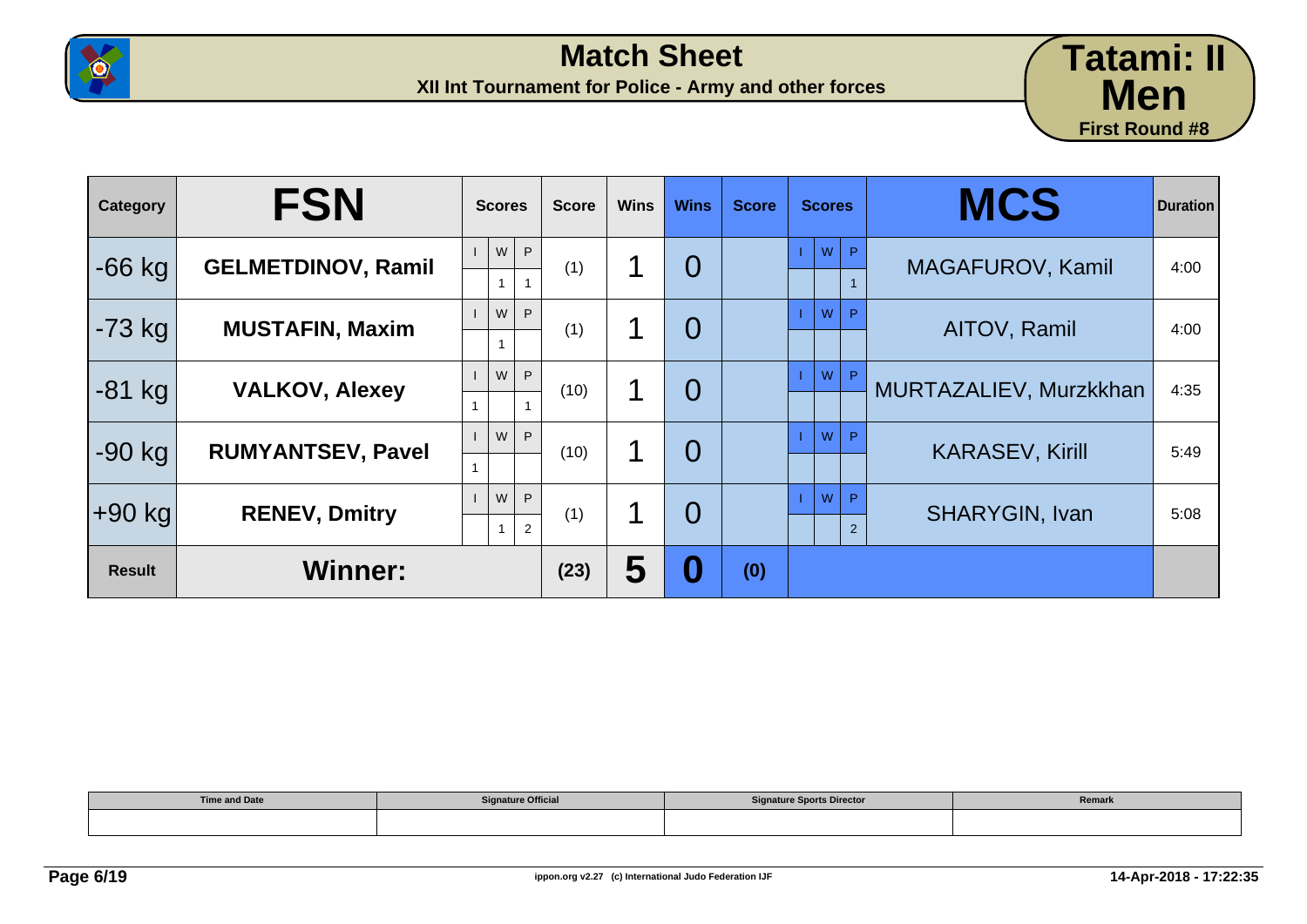



| Category      | <b>FSN</b>                | <b>Scores</b>                                    | <b>Score</b> | <b>Wins</b> | <b>Wins</b>    | <b>Score</b> | <b>Scores</b>            | <b>MCS</b>             | <b>Duration</b> |
|---------------|---------------------------|--------------------------------------------------|--------------|-------------|----------------|--------------|--------------------------|------------------------|-----------------|
| $-66$ kg      | <b>GELMETDINOV, Ramil</b> | ${\sf W}$<br>P<br>$\mathbf{1}$<br>$\overline{1}$ | (1)          |             | $\overline{0}$ |              | W<br>P.                  | MAGAFUROV, Kamil       | 4:00            |
| $-73$ kg      | <b>MUSTAFIN, Maxim</b>    | W<br>P<br>$\mathbf{1}$                           | (1)          | 1           | $\overline{0}$ |              | W                        | AITOV, Ramil           | 4:00            |
| $-81$ kg      | <b>VALKOV, Alexey</b>     | W<br>P                                           | (10)         | 1           | $\overline{0}$ |              | Þ<br>W                   | MURTAZALIEV, Murzkkhan | 4:35            |
| $-90$ kg      | <b>RUMYANTSEV, Pavel</b>  | W<br>P                                           | (10)         | 1           | $\overline{0}$ |              | W<br>P                   | <b>KARASEV, Kirill</b> | 5:49            |
| $+90$ kg      | <b>RENEV, Dmitry</b>      | W<br>P<br>$\mathbf{1}$<br>2                      | (1)          | 1           | $\overline{0}$ |              | W<br>P<br>$\overline{2}$ | <b>SHARYGIN, Ivan</b>  | 5:08            |
| <b>Result</b> | <b>Winner:</b>            |                                                  | (23)         | 5           | 0              | (0)          |                          |                        |                 |

| <b>Time and Date</b><br>. | <b>Signature Official</b> | <b>Signature Sports Director</b> | Remark |
|---------------------------|---------------------------|----------------------------------|--------|
|                           |                           |                                  |        |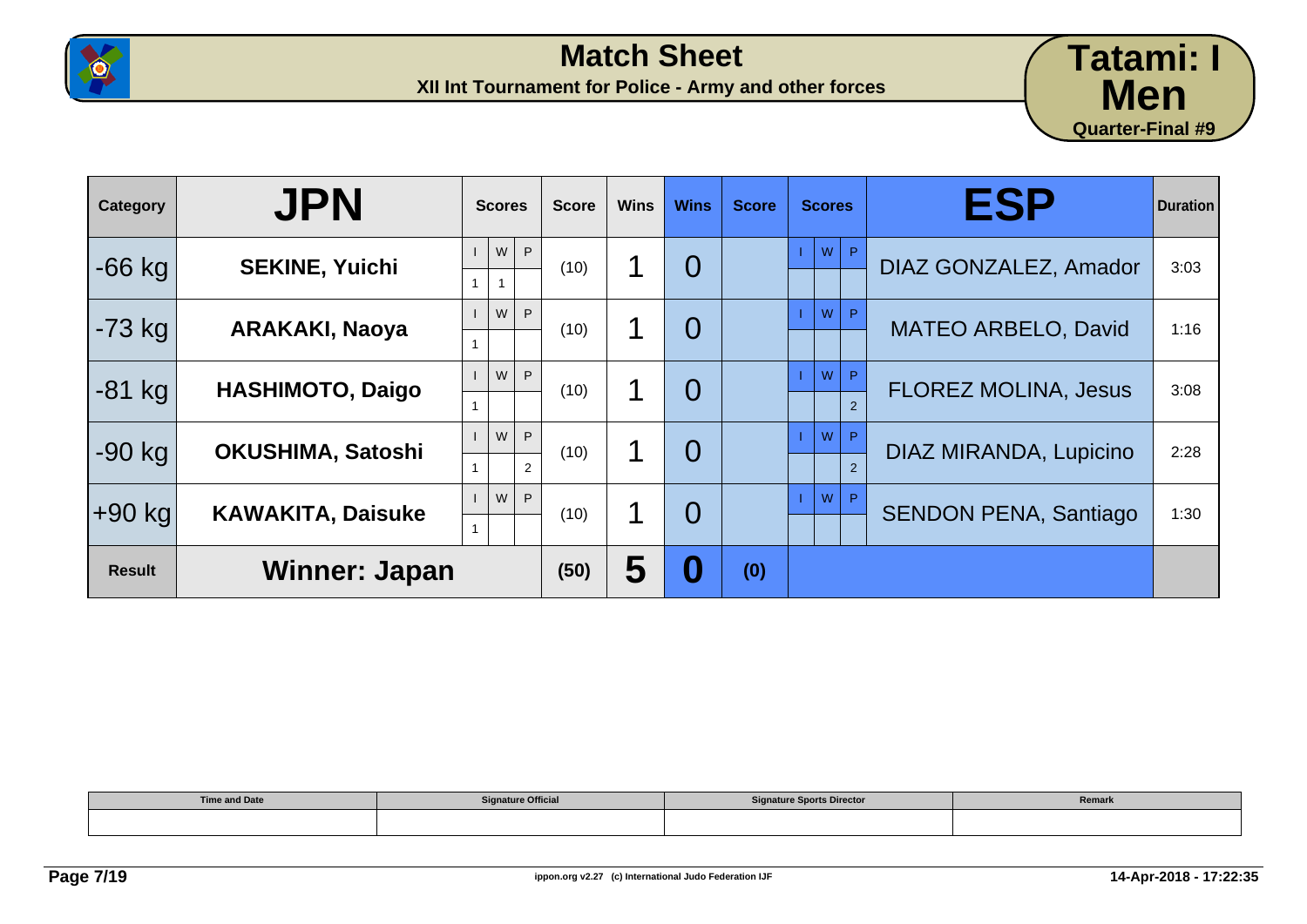



| <b>Category</b> | <b>JPN</b>               | <b>Scores</b>            | <b>Score</b> | <b>Wins</b> | <b>Wins</b>    | <b>Score</b> | <b>Scores</b>           | <b>ESP</b>                   | <b>Duration</b> |
|-----------------|--------------------------|--------------------------|--------------|-------------|----------------|--------------|-------------------------|------------------------------|-----------------|
| $-66$ kg        | <b>SEKINE, Yuichi</b>    | P<br>W<br>$\overline{1}$ | (10)         | 1           | $\overline{0}$ |              | $W$ $P$                 | DIAZ GONZALEZ, Amador        | 3:03            |
| $-73$ kg        | <b>ARAKAKI, Naoya</b>    | P<br>W                   | (10)         | 1           | $\overline{0}$ |              | W<br>P                  | <b>MATEO ARBELO, David</b>   | 1:16            |
| $-81$ kg        | <b>HASHIMOTO, Daigo</b>  | P<br>W                   | (10)         | 1           | $\overline{0}$ |              | W<br>P<br>$\mathcal{P}$ | <b>FLOREZ MOLINA, Jesus</b>  | 3:08            |
| $-90$ kg        | OKUSHIMA, Satoshi        | W<br>P<br>2              | (10)         | 1           | $\overline{0}$ |              | W<br>P<br>2             | DIAZ MIRANDA, Lupicino       | 2:28            |
| $+90$ kg        | <b>KAWAKITA, Daisuke</b> | W<br>P                   | (10)         | 1           | $\overline{0}$ |              | W<br>P                  | <b>SENDON PENA, Santiago</b> | 1:30            |
| <b>Result</b>   | Winner: Japan            |                          | (50)         | 5           | Ō              | (0)          |                         |                              |                 |

| <b>Time and Date</b> | <b>Signature Official</b> | <b>Signature Sports Director</b> | Remark |
|----------------------|---------------------------|----------------------------------|--------|
|                      |                           |                                  |        |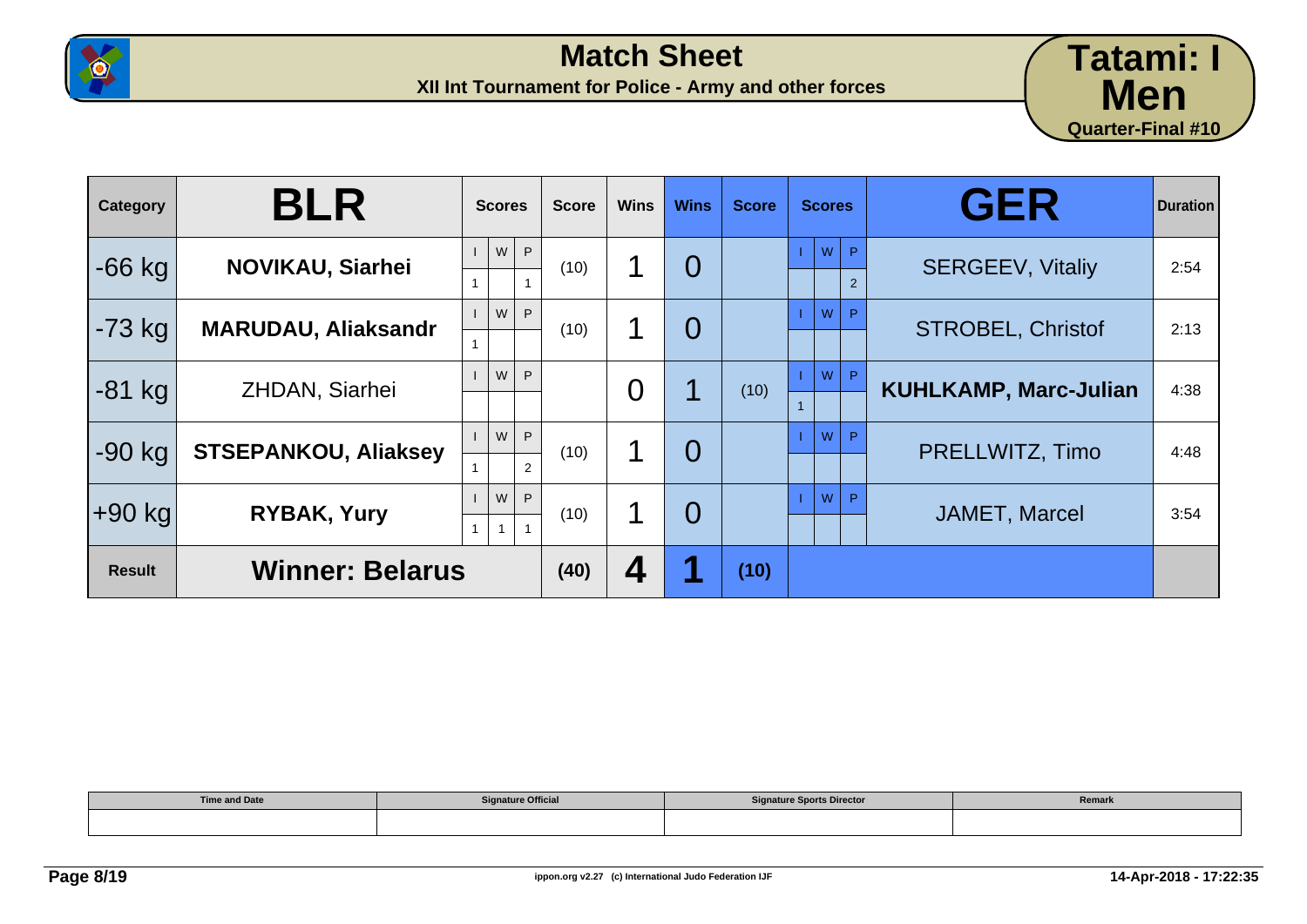



| Category      | <b>BLR</b>                  | <b>Scores</b>          | <b>Score</b> | <b>Wins</b> | <b>Wins</b>    | <b>Score</b> | <b>Scores</b>                         | <b>GER</b>                   | <b>Duration</b> |
|---------------|-----------------------------|------------------------|--------------|-------------|----------------|--------------|---------------------------------------|------------------------------|-----------------|
| $-66$ kg      | <b>NOVIKAU, Siarhei</b>     | P<br>W                 | (10)         | 1           | $\overline{0}$ |              | W<br>$ ~\mathsf{P}$<br>$\overline{2}$ | <b>SERGEEV, Vitaliy</b>      | 2:54            |
| $-73$ kg      | <b>MARUDAU, Aliaksandr</b>  | W<br>P                 | (10)         | 1           | $\overline{0}$ |              | W<br>P                                | <b>STROBEL, Christof</b>     | 2:13            |
| $-81$ kg      | <b>ZHDAN, Siarhei</b>       | W<br>P                 |              | 0           |                | (10)         | P<br>W                                | <b>KUHLKAMP, Marc-Julian</b> | 4:38            |
| $-90$ kg      | <b>STSEPANKOU, Aliaksey</b> | P<br>W<br>2            | (10)         | 1           | $\overline{0}$ |              | W<br>P                                | PRELLWITZ, Timo              | 4:48            |
| +90 kg        | <b>RYBAK, Yury</b>          | W<br>P<br>$\mathbf{1}$ | (10)         | 1           | $\Omega$       |              | W<br>P                                | <b>JAMET, Marcel</b>         | 3:54            |
| <b>Result</b> | <b>Winner: Belarus</b>      |                        | (40)         | 4           |                | (10)         |                                       |                              |                 |

| <b>Time and Date</b> | <b>Signature Official</b> | <b>Signature Sports Director</b> | Remark |
|----------------------|---------------------------|----------------------------------|--------|
|                      |                           |                                  |        |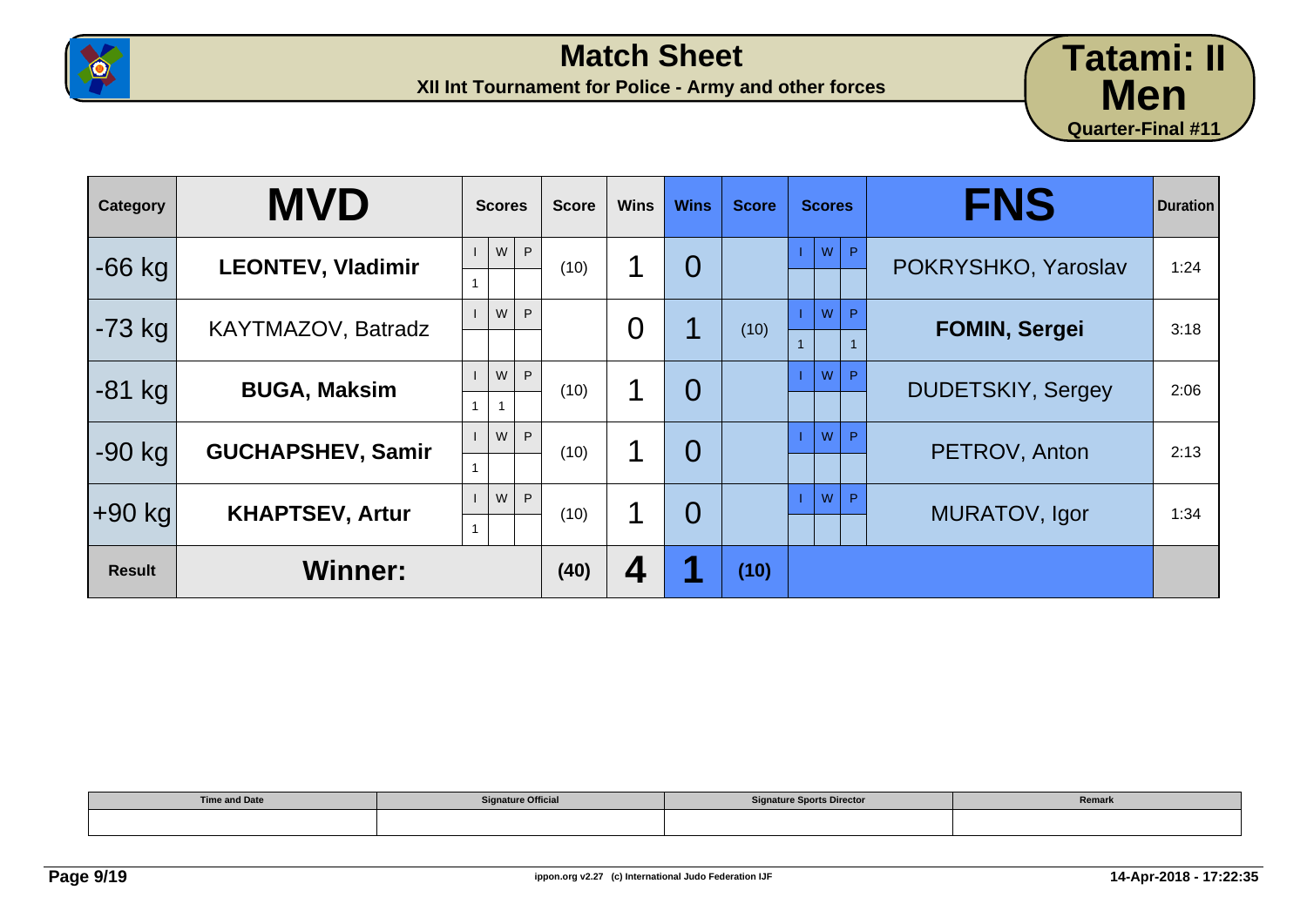



| Category      | <b>MVD</b>               | <b>Scores</b>                  | <b>Score</b> | <b>Wins</b>    | <b>Wins</b>    | <b>Score</b> | <b>Scores</b>                          | <b>FNS</b>               | <b>Duration</b> |
|---------------|--------------------------|--------------------------------|--------------|----------------|----------------|--------------|----------------------------------------|--------------------------|-----------------|
| $-66$ kg      | <b>LEONTEV, Vladimir</b> | P<br>W                         | (10)         | 1              | $\overline{0}$ |              | W<br>P                                 | POKRYSHKO, Yaroslav      | 1:24            |
| $-73$ kg      | KAYTMAZOV, Batradz       | W<br>P                         |              | $\overline{0}$ |                | (10)         | W<br>P<br>$\mathbf{1}$<br>$\mathbf{1}$ | <b>FOMIN, Sergei</b>     | 3:18            |
| $-81$ kg      | <b>BUGA, Maksim</b>      | P<br>${\sf W}$<br>$\mathbf{1}$ | (10)         | 1              | $\overline{0}$ |              | W<br>P                                 | <b>DUDETSKIY, Sergey</b> | 2:06            |
| $-90$ kg      | <b>GUCHAPSHEV, Samir</b> | P<br>W                         | (10)         | 1              | $\overline{O}$ |              | <b>W</b><br>P                          | PETROV, Anton            | 2:13            |
| $+90$ kg      | <b>KHAPTSEV, Artur</b>   | W<br>P                         | (10)         | 1              | $\overline{0}$ |              | W<br>P                                 | MURATOV, Igor            | 1:34            |
| <b>Result</b> | <b>Winner:</b>           |                                | (40)         | 4              |                | (10)         |                                        |                          |                 |

| <b>Time and Date</b> | <b>Signature Official</b> | <b>Signature Sports Director</b> | Remark |
|----------------------|---------------------------|----------------------------------|--------|
|                      |                           |                                  |        |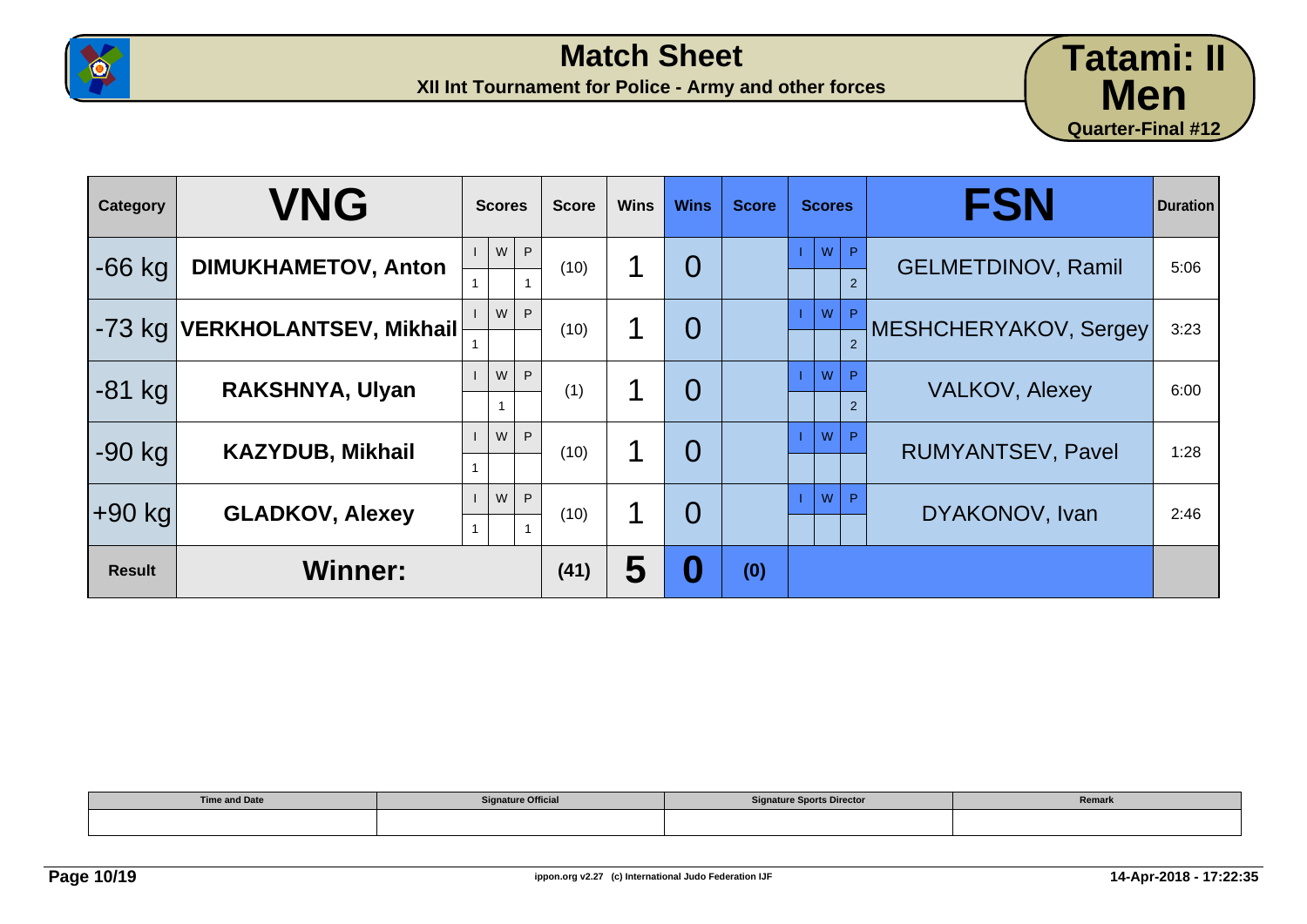



| Category      | <b>VNG</b>                    | <b>Scores</b>     |   | <b>Score</b> | <b>Wins</b> | <b>Wins</b>    | <b>Score</b> | <b>Scores</b> |                                | <b>FSN</b>                | <b>Duration</b> |
|---------------|-------------------------------|-------------------|---|--------------|-------------|----------------|--------------|---------------|--------------------------------|---------------------------|-----------------|
| $-66$ kg      | <b>DIMUKHAMETOV, Anton</b>    | W                 | P | (10)         | 1           | $\overline{0}$ |              |               | $W$ $P$<br>$\overline{2}$      | <b>GELMETDINOV, Ramil</b> | 5:06            |
| $-73$ kg      | <b>VERKHOLANTSEV, Mikhail</b> | W                 | P | (10)         | 1           | $\overline{0}$ |              | W             | $\mathsf{P}$<br>$\overline{2}$ | MESHCHERYAKOV, Sergey     | 3:23            |
| $-81$ kg      | <b>RAKSHNYA, Ulyan</b>        | W<br>$\mathbf{1}$ | P | (1)          | 1           | $\overline{0}$ |              | W             | P<br>$\mathfrak{p}$            | <b>VALKOV, Alexey</b>     | 6:00            |
| $-90$ kg      | <b>KAZYDUB, Mikhail</b>       | W                 | P | (10)         | 1           | $\overline{0}$ |              | W             | P                              | <b>RUMYANTSEV, Pavel</b>  | 1:28            |
| $+90$ kg      | <b>GLADKOV, Alexey</b>        | W                 | P | (10)         | 1           | $\Omega$       |              | W             | P                              | DYAKONOV, Ivan            | 2:46            |
| <b>Result</b> | <b>Winner:</b>                |                   |   | (41)         | 5           | Ō              | (0)          |               |                                |                           |                 |

| <b>Time and Date</b> | <b>Signature Official</b> | <b>Signature Sports Director</b> | Remark |
|----------------------|---------------------------|----------------------------------|--------|
|                      |                           |                                  |        |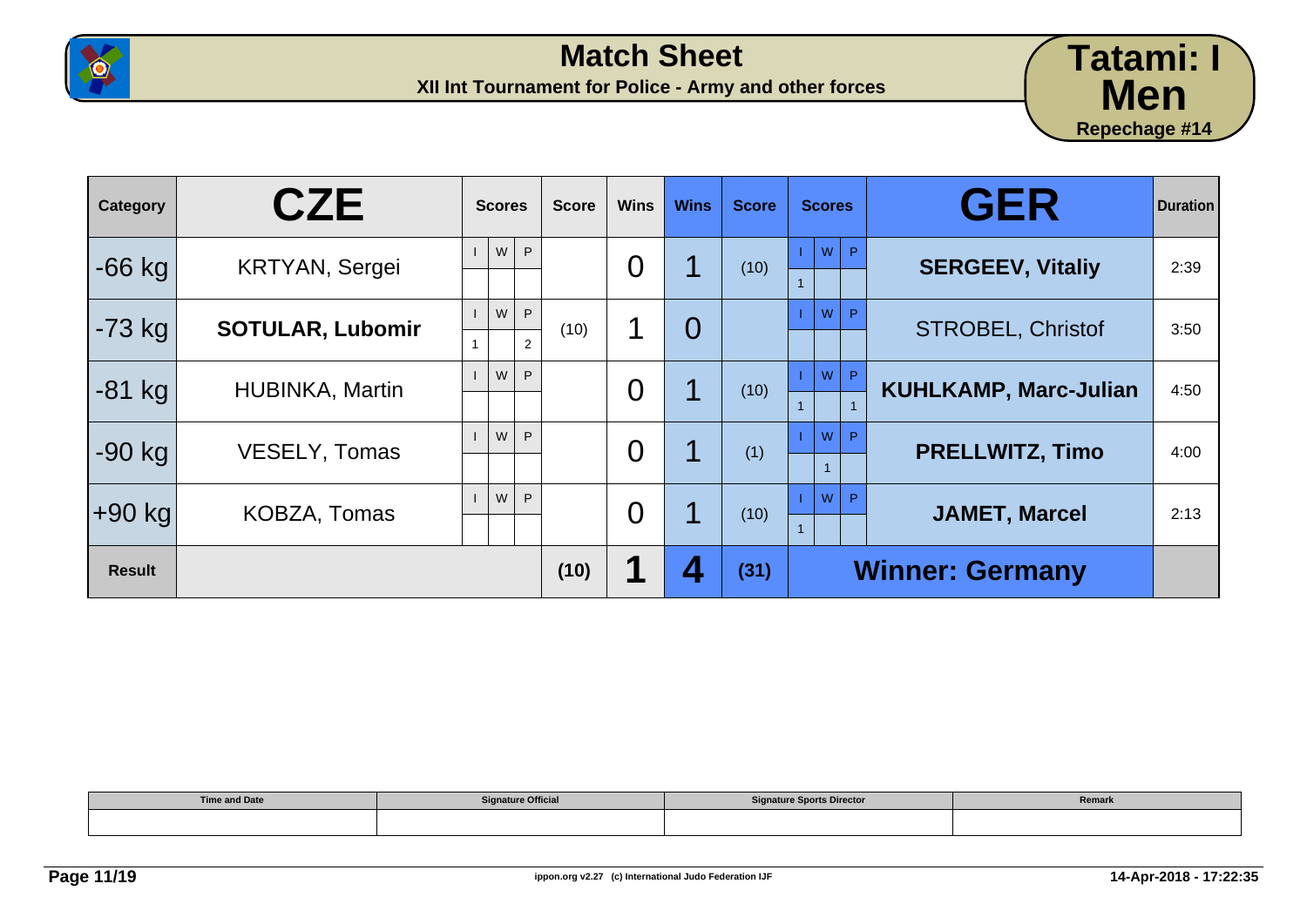



| Category      | <b>CZE</b>              | <b>Scores</b>            | <b>Score</b> | <b>Wins</b>    | <b>Wins</b>    | <b>Score</b> | <b>Scores</b>   | <b>GER</b>                   | <b>Duration</b> |
|---------------|-------------------------|--------------------------|--------------|----------------|----------------|--------------|-----------------|------------------------------|-----------------|
| $-66$ kg      | <b>KRTYAN, Sergei</b>   | W<br>P                   |              | $\overline{0}$ |                | (10)         | ${\sf W}$<br>P. | <b>SERGEEV, Vitaliy</b>      | 2:39            |
| $-73$ kg      | <b>SOTULAR, Lubomir</b> | W<br>P<br>$\overline{2}$ | (10)         | 1              | $\overline{O}$ |              | W<br>P          | <b>STROBEL, Christof</b>     | 3:50            |
| $-81$ kg      | <b>HUBINKA, Martin</b>  | W<br>P                   |              | $\overline{0}$ |                | (10)         | W<br>P          | <b>KUHLKAMP, Marc-Julian</b> | 4:50            |
| $-90$ kg      | <b>VESELY, Tomas</b>    | W<br>P                   |              | $\overline{0}$ |                | (1)          | W<br>P          | <b>PRELLWITZ, Timo</b>       | 4:00            |
| $+90$ kg      | KOBZA, Tomas            | W<br>P                   |              | $\overline{0}$ |                | (10)         | W<br>D          | <b>JAMET, Marcel</b>         | 2:13            |
| <b>Result</b> |                         |                          | (10)         |                |                | (31)         |                 | <b>Winner: Germany</b>       |                 |

| <b>Time and Date</b> | <b>Signature Official</b> | <b>Signature Sports Director</b> | Remark |
|----------------------|---------------------------|----------------------------------|--------|
|                      |                           |                                  |        |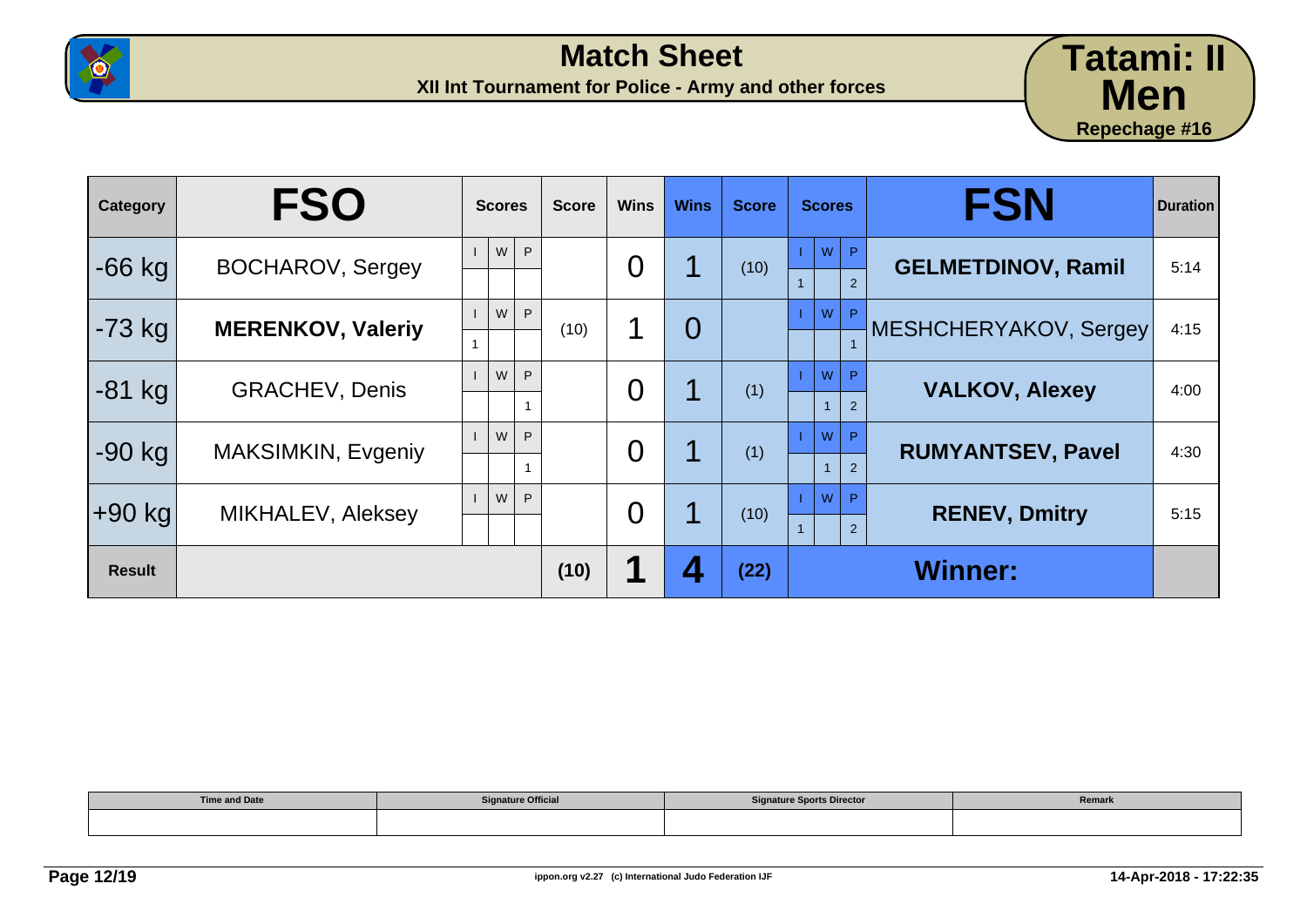



| Category      | <b>FSO</b>               | <b>Scores</b> | <b>Score</b> | <b>Wins</b> | <b>Wins</b> | <b>Score</b> | <b>Scores</b>           | <b>FSN</b>                | <b>Duration</b> |
|---------------|--------------------------|---------------|--------------|-------------|-------------|--------------|-------------------------|---------------------------|-----------------|
| $-66$ kg      | <b>BOCHAROV, Sergey</b>  | W<br>P        |              | 0           |             | (10)         | W<br>P.<br>2            | <b>GELMETDINOV, Ramil</b> | 5:14            |
| $-73$ kg      | <b>MERENKOV, Valeriy</b> | W<br>P        | (10)         | 1           | 0           |              | W<br>P                  | MESHCHERYAKOV, Sergey     | 4:15            |
| $-81$ kg      | <b>GRACHEV, Denis</b>    | W<br>P        |              | 0           |             | (1)          | W<br>P<br>$\mathcal{P}$ | <b>VALKOV, Alexey</b>     | 4:00            |
| $-90$ kg      | MAKSIMKIN, Evgeniy       | W<br>P        |              | 0           |             | (1)          | W<br>P.<br>2            | <b>RUMYANTSEV, Pavel</b>  | 4:30            |
| ∣+90 kg       | <b>MIKHALEV, Aleksey</b> | W<br>P        |              | 0           |             | (10)         | W<br>P<br>2             | <b>RENEV, Dmitry</b>      | 5:15            |
| <b>Result</b> |                          |               | (10)         |             |             | (22)         |                         | <b>Winner:</b>            |                 |

| <b>Time and Date</b> | <b>Signature Official</b> | <b>Signature Sports Director</b> | Remark |
|----------------------|---------------------------|----------------------------------|--------|
|                      |                           |                                  |        |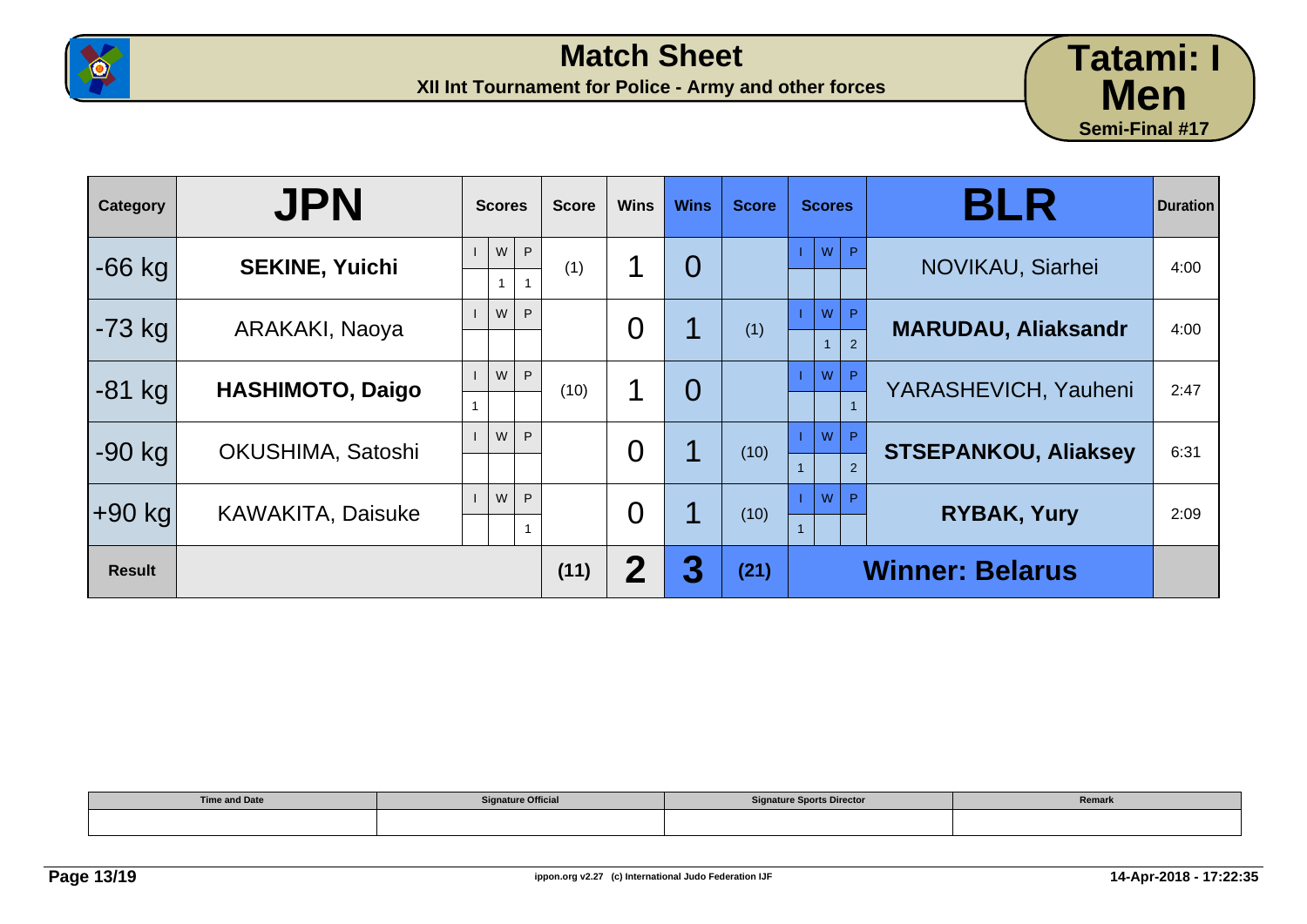



| Category      | <b>JPN</b>               | <b>Scores</b>                  | <b>Score</b> | <b>Wins</b>    | <b>Wins</b>    | <b>Score</b> | <b>Scores</b>            | <b>BLR</b>                  | <b>Duration</b> |
|---------------|--------------------------|--------------------------------|--------------|----------------|----------------|--------------|--------------------------|-----------------------------|-----------------|
| $-66$ kg      | <b>SEKINE, Yuichi</b>    | P<br>${\sf W}$<br>$\mathbf{1}$ | (1)          | 1              | $\overline{0}$ |              | <b>P</b><br>W            | NOVIKAU, Siarhei            | 4:00            |
| $-73$ kg      | ARAKAKI, Naoya           | W<br>P                         |              | $\overline{0}$ |                | (1)          | W<br>P<br>2              | <b>MARUDAU, Aliaksandr</b>  | 4:00            |
| $-81$ kg      | <b>HASHIMOTO, Daigo</b>  | P<br>W                         | (10)         | 1              | $\overline{0}$ |              | W<br>P                   | YARASHEVICH, Yauheni        | 2:47            |
| $-90$ kg      | OKUSHIMA, Satoshi        | W<br>P                         |              | $\overline{0}$ |                | (10)         | W<br>P<br>$\overline{2}$ | <b>STSEPANKOU, Aliaksey</b> | 6:31            |
| ∣+90 kg       | <b>KAWAKITA, Daisuke</b> | W<br>P                         |              | $\overline{0}$ |                | (10)         | W<br>P                   | <b>RYBAK, Yury</b>          | 2:09            |
| <b>Result</b> |                          |                                | (11)         | 2              | 3              | (21)         |                          | <b>Winner: Belarus</b>      |                 |

| <b>Time and Date</b> | <b>Signature Official</b> | <b>Signature Sports Director</b> | Remark |
|----------------------|---------------------------|----------------------------------|--------|
|                      |                           |                                  |        |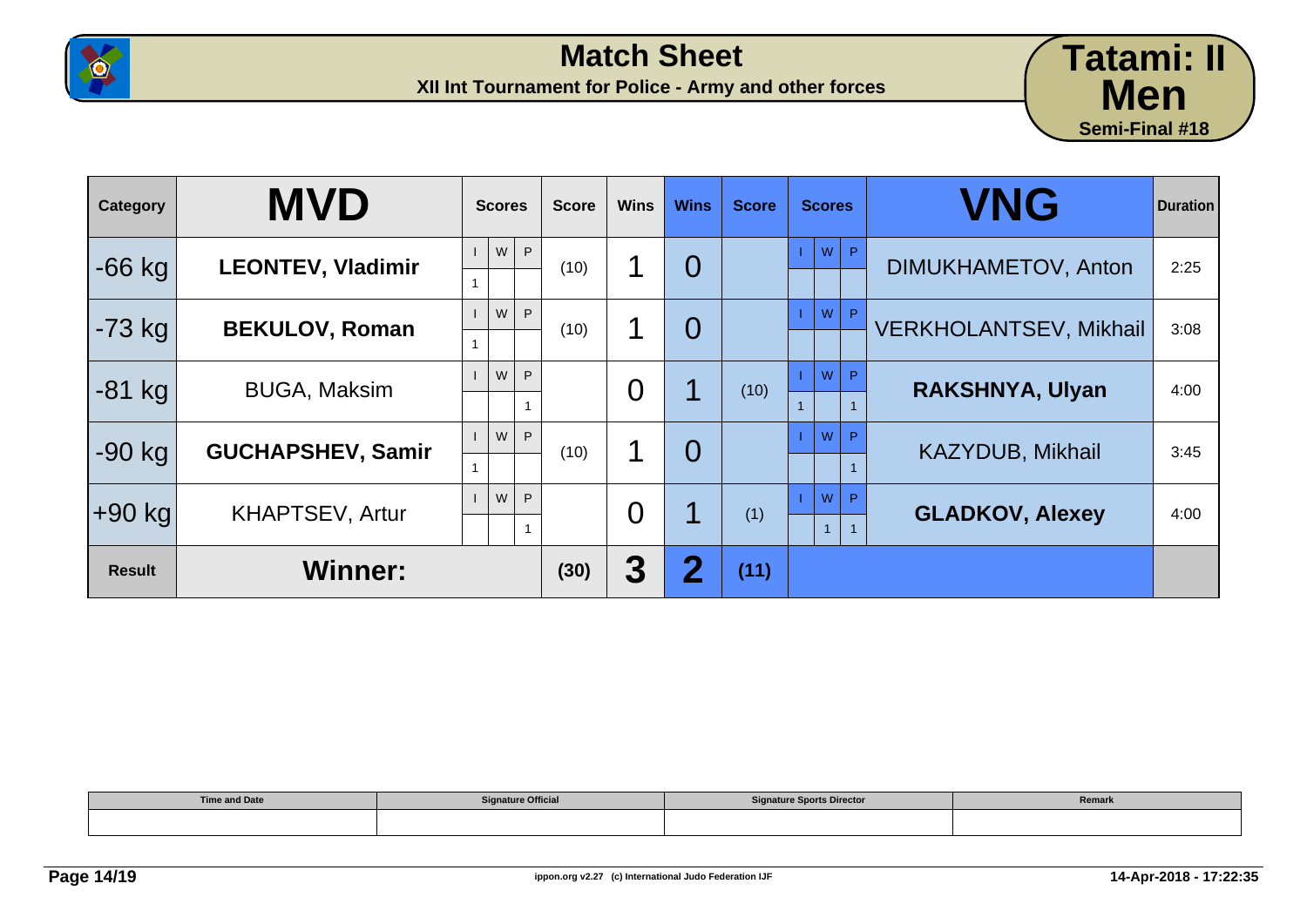



| <b>Category</b> | <b>MVD</b>               | <b>Scores</b> | <b>Score</b> | <b>Wins</b>    | <b>Wins</b>    | <b>Score</b> | <b>Scores</b>     | <b>VNG</b>                    | <b>Duration</b> |
|-----------------|--------------------------|---------------|--------------|----------------|----------------|--------------|-------------------|-------------------------------|-----------------|
| $-66$ kg        | <b>LEONTEV, Vladimir</b> | W<br>P.       | (10)         | 1              | $\overline{0}$ |              | w<br>$\mathsf{P}$ | DIMUKHAMETOV, Anton           | 2:25            |
| $-73$ kg        | <b>BEKULOV, Roman</b>    | W<br>P        | (10)         | 1              | $\overline{0}$ |              | W<br>$\mathsf{P}$ | <b>VERKHOLANTSEV, Mikhail</b> | 3:08            |
| $-81$ kg        | <b>BUGA, Maksim</b>      | W<br>P        |              | 0              |                | (10)         | W<br>D            | <b>RAKSHNYA, Ulyan</b>        | 4:00            |
| $-90$ kg        | <b>GUCHAPSHEV, Samir</b> | P.<br>W       | (10)         | 1              | $\overline{0}$ |              | W<br>D            | <b>KAZYDUB, Mikhail</b>       | 3:45            |
| $+90$ kg        | <b>KHAPTSEV, Artur</b>   | W<br>P        |              | $\overline{0}$ |                | (1)          | W<br>$\Box$       | <b>GLADKOV, Alexey</b>        | 4:00            |
| <b>Result</b>   | <b>Winner:</b>           |               | (30)         | 3              | 2              | (11)         |                   |                               |                 |

| <b>Time and Date</b> | <b>Signature Official</b> | <b>Signature Sports Director</b> | Remark |
|----------------------|---------------------------|----------------------------------|--------|
|                      |                           |                                  |        |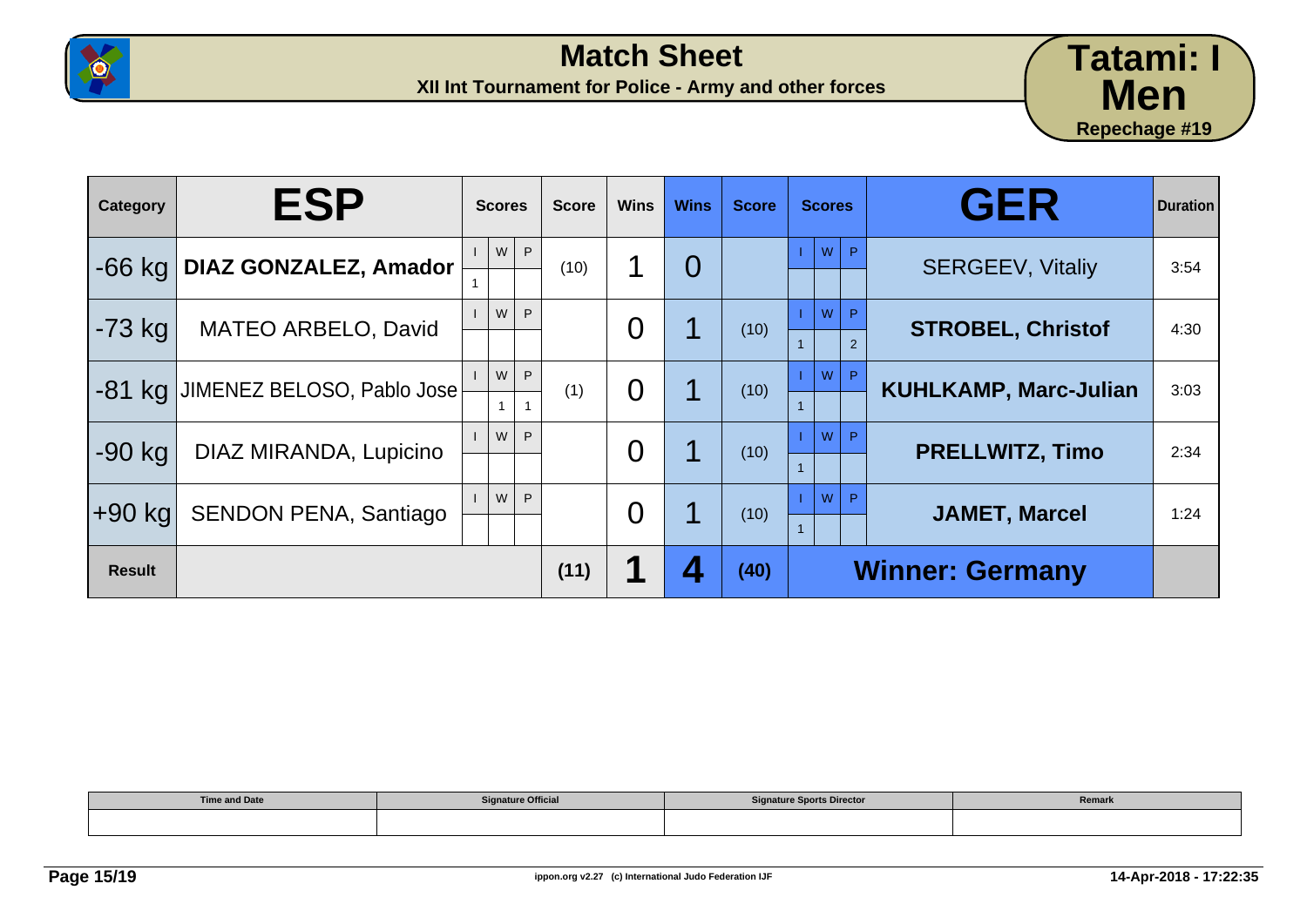



| Category      | <b>ESP</b>                        | <b>Scores</b>          | <b>Score</b> | <b>Wins</b>    | <b>Wins</b>    | <b>Score</b> | <b>Scores</b>            | <b>GER</b>                   | <b>Duration</b> |
|---------------|-----------------------------------|------------------------|--------------|----------------|----------------|--------------|--------------------------|------------------------------|-----------------|
| $-66$ kg      | <b>DIAZ GONZALEZ, Amador</b>      | P<br>W                 | (10)         | 1              | $\overline{0}$ |              | W<br>P                   | <b>SERGEEV, Vitaliy</b>      | 3:54            |
| $-73$ kg      | <b>MATEO ARBELO, David</b>        | W<br>P                 |              | O              |                | (10)         | W<br>P<br>$\overline{2}$ | <b>STROBEL, Christof</b>     | 4:30            |
|               | -81 kg JIMENEZ BELOSO, Pablo Jose | P<br>W<br>$\mathbf{1}$ | (1)          | $\overline{0}$ |                | (10)         | W<br>P                   | <b>KUHLKAMP, Marc-Julian</b> | 3:03            |
| $-90$ kg      | DIAZ MIRANDA, Lupicino            | W<br>P.                |              | $\overline{0}$ |                | (10)         | W<br><b>P</b>            | <b>PRELLWITZ, Timo</b>       | 2:34            |
| +90 kg        | <b>SENDON PENA, Santiago</b>      | P<br>W                 |              | O              |                | (10)         | W<br>P                   | <b>JAMET, Marcel</b>         | 1:24            |
| <b>Result</b> |                                   |                        | (11)         |                |                | (40)         | <b>Winner: Germany</b>   |                              |                 |

| <b>Time and Date</b> | <b>Signature Official</b> | <b>Signature Sports Director</b> | Remark |
|----------------------|---------------------------|----------------------------------|--------|
|                      |                           |                                  |        |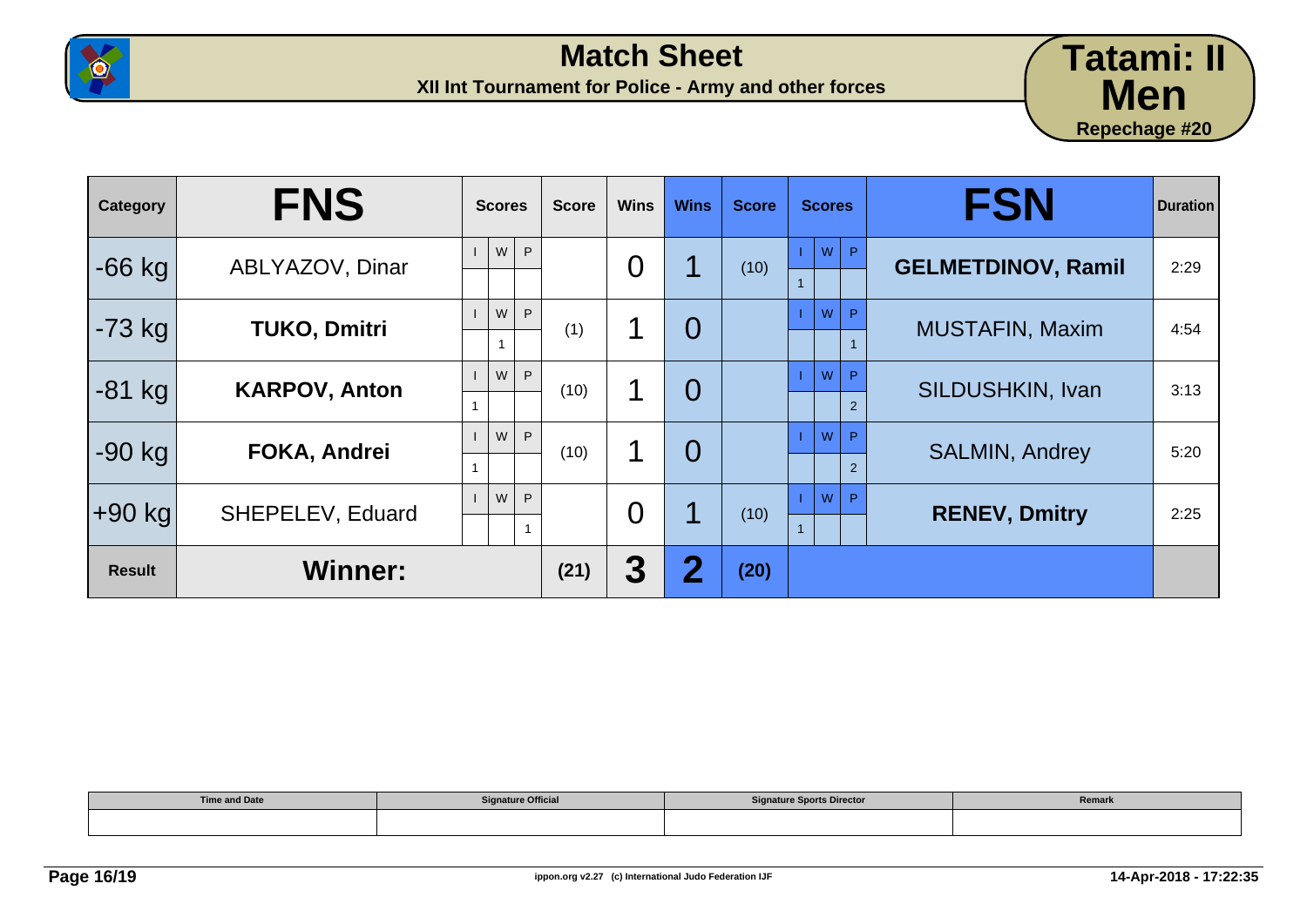



| Category      | <b>FNS</b>           | <b>Scores</b>          | <b>Score</b> | <b>Wins</b> | <b>Wins</b>    | <b>Score</b> | <b>Scores</b> | <b>FSN</b>                | <b>Duration</b> |
|---------------|----------------------|------------------------|--------------|-------------|----------------|--------------|---------------|---------------------------|-----------------|
| $-66$ kg      | ABLYAZOV, Dinar      | W<br>P                 |              | 0           |                | (10)         | W<br>P        | <b>GELMETDINOV, Ramil</b> | 2:29            |
| $-73$ kg      | <b>TUKO, Dmitri</b>  | W<br>P<br>$\mathbf{1}$ | (1)          | ◀           | $\overline{0}$ |              | W<br>P        | <b>MUSTAFIN, Maxim</b>    | 4:54            |
| $-81$ kg      | <b>KARPOV, Anton</b> | W<br>P                 | (10)         |             | $\overline{0}$ |              | W<br>P<br>2   | <b>SILDUSHKIN, Ivan</b>   | 3:13            |
| $-90$ kg      | <b>FOKA, Andrei</b>  | W<br>P                 | (10)         | 1           | $\overline{0}$ |              | W<br>P<br>2   | <b>SALMIN, Andrey</b>     | 5:20            |
| $+90$ kg      | SHEPELEV, Eduard     | W<br>P                 |              | 0           |                | (10)         | W<br>P        | <b>RENEV, Dmitry</b>      | 2:25            |
| <b>Result</b> | <b>Winner:</b>       |                        | (21)         | 3           | $\bf{2}$       | (20)         |               |                           |                 |

| <b>Time and Date</b> | <b>Signature Official</b> | ature Sports Director<br>C <sub>1</sub> | Remark |
|----------------------|---------------------------|-----------------------------------------|--------|
|                      |                           |                                         |        |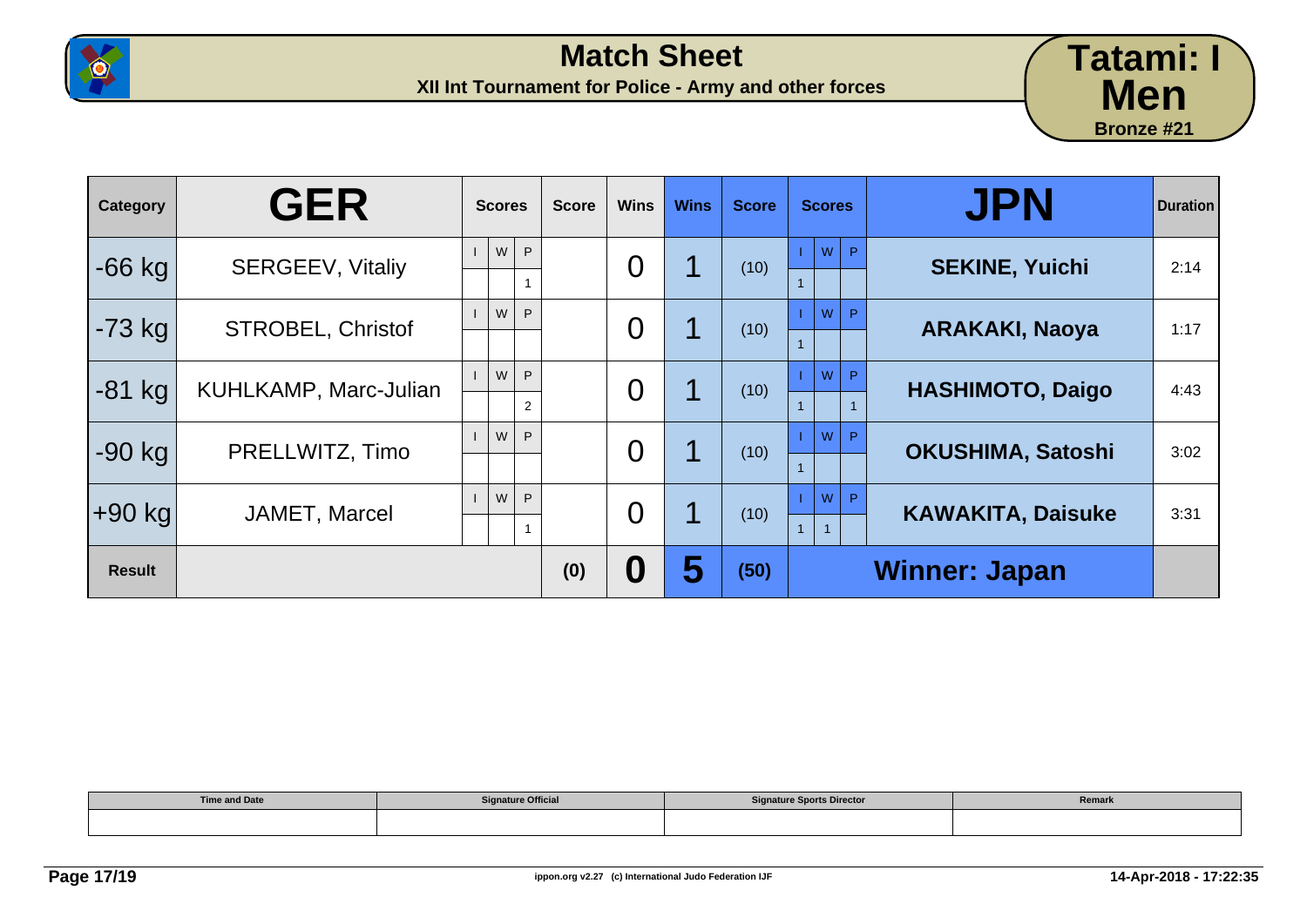



| Category      | <b>GER</b>               | <b>Scores</b>            | <b>Score</b> | <b>Wins</b>    | <b>Wins</b> | <b>Score</b> | <b>Scores</b>                            | <b>JPN</b>               | <b>Duration</b> |
|---------------|--------------------------|--------------------------|--------------|----------------|-------------|--------------|------------------------------------------|--------------------------|-----------------|
| $-66$ kg      | <b>SERGEEV, Vitaliy</b>  | W<br>P                   |              | $\overline{0}$ |             | (10)         | W<br>P.                                  | <b>SEKINE, Yuichi</b>    | 2:14            |
| $-73$ kg      | <b>STROBEL, Christof</b> | W<br>P.                  |              | $\overline{0}$ |             | (10)         | W<br>P                                   | <b>ARAKAKI, Naoya</b>    | 1:17            |
| $-81$ kg      | KUHLKAMP, Marc-Julian    | W<br>P<br>$\overline{2}$ |              | $\overline{0}$ |             | (10)         | W<br>P                                   | <b>HASHIMOTO, Daigo</b>  | 4:43            |
| $-90$ kg      | PRELLWITZ, Timo          | W<br>P                   |              | $\overline{0}$ |             | (10)         | W<br>P                                   | OKUSHIMA, Satoshi        | 3:02            |
| $+90$ kg      | JAMET, Marcel            | W<br>P.                  |              | $\overline{0}$ |             | (10)         | W<br>P<br>$\mathbf{1}$<br>$\overline{1}$ | <b>KAWAKITA, Daisuke</b> | 3:31            |
| <b>Result</b> |                          |                          | (0)          | 0              | 5           | (50)         |                                          | <b>Winner: Japan</b>     |                 |

| <b>Time and Date</b> | <b>Signature Official</b> | <b>Signature Sports Director</b> | Remark |
|----------------------|---------------------------|----------------------------------|--------|
|                      |                           |                                  |        |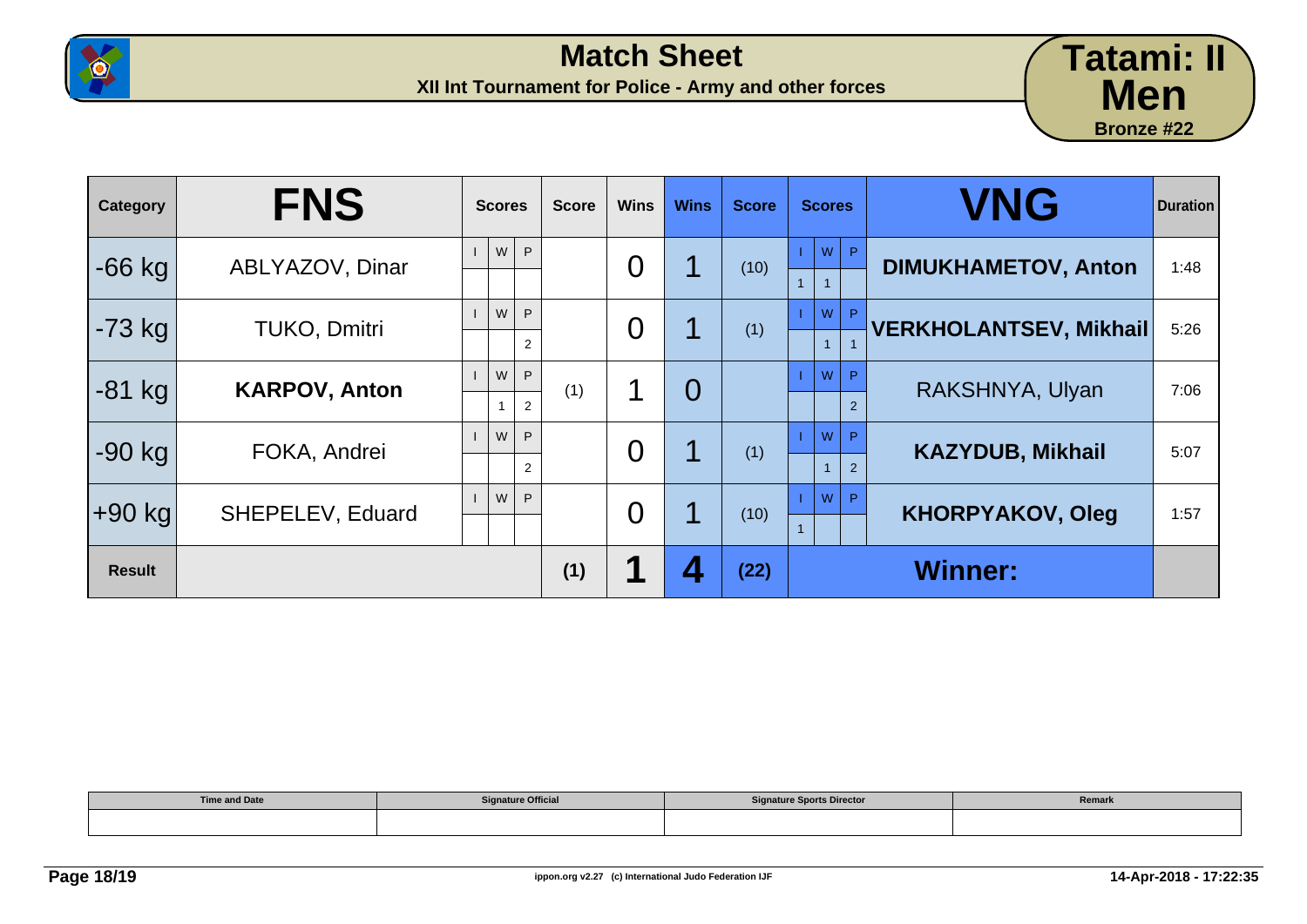



| Category      | <b>FNS</b>              | <b>Scores</b>                 | <b>Score</b> | <b>Wins</b>    | <b>Wins</b>    | <b>Score</b> | <b>Scores</b>                       | <b>VNG</b>                    | <b>Duration</b> |
|---------------|-------------------------|-------------------------------|--------------|----------------|----------------|--------------|-------------------------------------|-------------------------------|-----------------|
| $-66$ kg      | ABLYAZOV, Dinar         | W<br>P                        |              | 0              |                | (10)         | W<br>$\mathsf{P}$<br>$\overline{1}$ | <b>DIMUKHAMETOV, Anton</b>    | 1:48            |
| $-73$ kg      | <b>TUKO, Dmitri</b>     | W<br>P<br>$\overline{2}$      |              | $\overline{0}$ |                | (1)          | W<br>P.<br>$\mathbf{1}$             | <b>VERKHOLANTSEV, Mikhail</b> | 5:26            |
| $-81$ kg      | <b>KARPOV, Anton</b>    | W<br>P<br>2<br>$\overline{1}$ | (1)          | 1              | $\overline{0}$ |              | W<br>P<br>$\mathcal{P}$             | RAKSHNYA, Ulyan               | 7:06            |
| $-90$ kg      | FOKA, Andrei            | W<br>P<br>$\overline{2}$      |              | 0              |                | (1)          | W<br>P<br>2                         | <b>KAZYDUB, Mikhail</b>       | 5:07            |
| $+90$ kg      | <b>SHEPELEV, Eduard</b> | W<br>P                        |              | 0              |                | (10)         | W<br>P                              | <b>KHORPYAKOV, Oleg</b>       | 1:57            |
| <b>Result</b> |                         |                               | (1)          | 1              | $\mathbf{Z}$   | (22)         |                                     | <b>Winner:</b>                |                 |

| <b>Time and Date</b> | <b>Signature Official</b> | <b>Signature Sports Director</b> | Remark |
|----------------------|---------------------------|----------------------------------|--------|
|                      |                           |                                  |        |